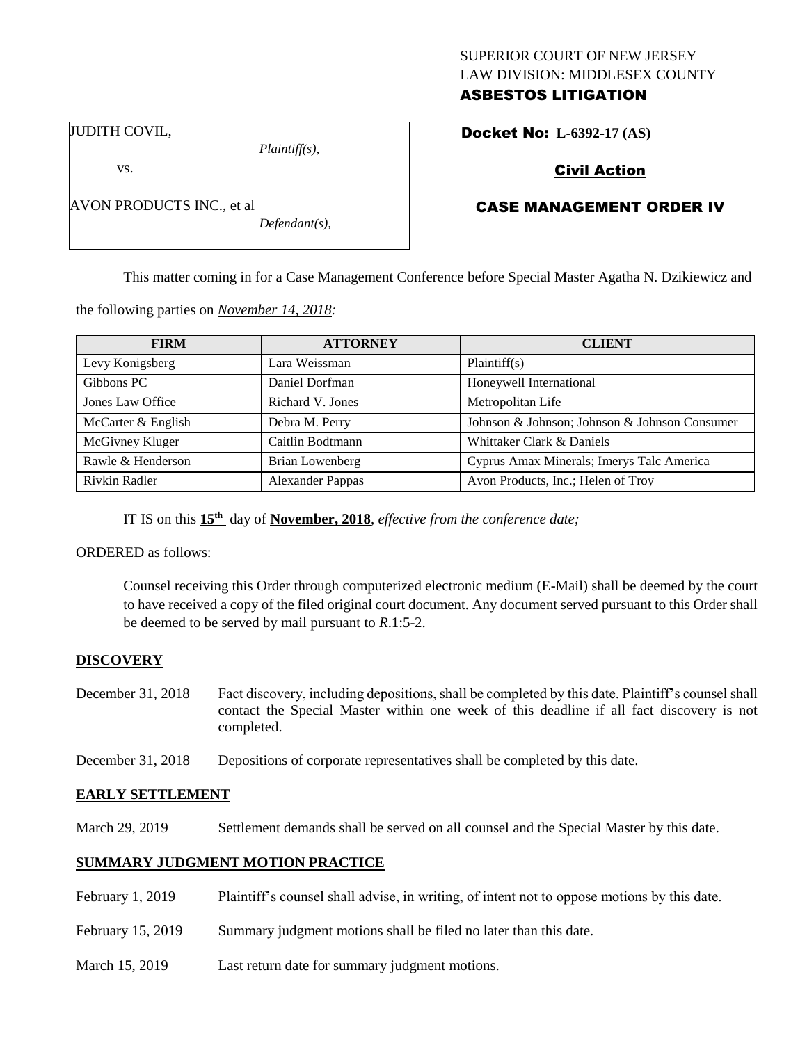# SUPERIOR COURT OF NEW JERSEY LAW DIVISION: MIDDLESEX COUNTY ASBESTOS LITIGATION

JUDITH COVIL,

vs.

AVON PRODUCTS INC., et al

*Plaintiff(s),*

Civil Action

Docket No: **L-6392-17 (AS)** 

# CASE MANAGEMENT ORDER IV

*Defendant(s),*

This matter coming in for a Case Management Conference before Special Master Agatha N. Dzikiewicz and

the following parties on *November 14, 2018:*

| <b>FIRM</b>        | <b>ATTORNEY</b>         | <b>CLIENT</b>                                 |
|--------------------|-------------------------|-----------------------------------------------|
| Levy Konigsberg    | Lara Weissman           | Plaintiff(s)                                  |
| Gibbons PC         | Daniel Dorfman          | Honeywell International                       |
| Jones Law Office   | Richard V. Jones        | Metropolitan Life                             |
| McCarter & English | Debra M. Perry          | Johnson & Johnson; Johnson & Johnson Consumer |
| McGivney Kluger    | Caitlin Bodtmann        | Whittaker Clark & Daniels                     |
| Rawle & Henderson  | <b>Brian Lowenberg</b>  | Cyprus Amax Minerals; Imerys Talc America     |
| Rivkin Radler      | <b>Alexander Pappas</b> | Avon Products, Inc.; Helen of Troy            |

IT IS on this **15th** day of **November, 2018**, *effective from the conference date;*

ORDERED as follows:

Counsel receiving this Order through computerized electronic medium (E-Mail) shall be deemed by the court to have received a copy of the filed original court document. Any document served pursuant to this Order shall be deemed to be served by mail pursuant to *R*.1:5-2.

# **DISCOVERY**

- December 31, 2018 Fact discovery, including depositions, shall be completed by this date. Plaintiff's counsel shall contact the Special Master within one week of this deadline if all fact discovery is not completed.
- December 31, 2018 Depositions of corporate representatives shall be completed by this date.

# **EARLY SETTLEMENT**

March 29, 2019 Settlement demands shall be served on all counsel and the Special Master by this date.

# **SUMMARY JUDGMENT MOTION PRACTICE**

- February 1, 2019 Plaintiff's counsel shall advise, in writing, of intent not to oppose motions by this date.
- February 15, 2019 Summary judgment motions shall be filed no later than this date.
- March 15, 2019 Last return date for summary judgment motions.